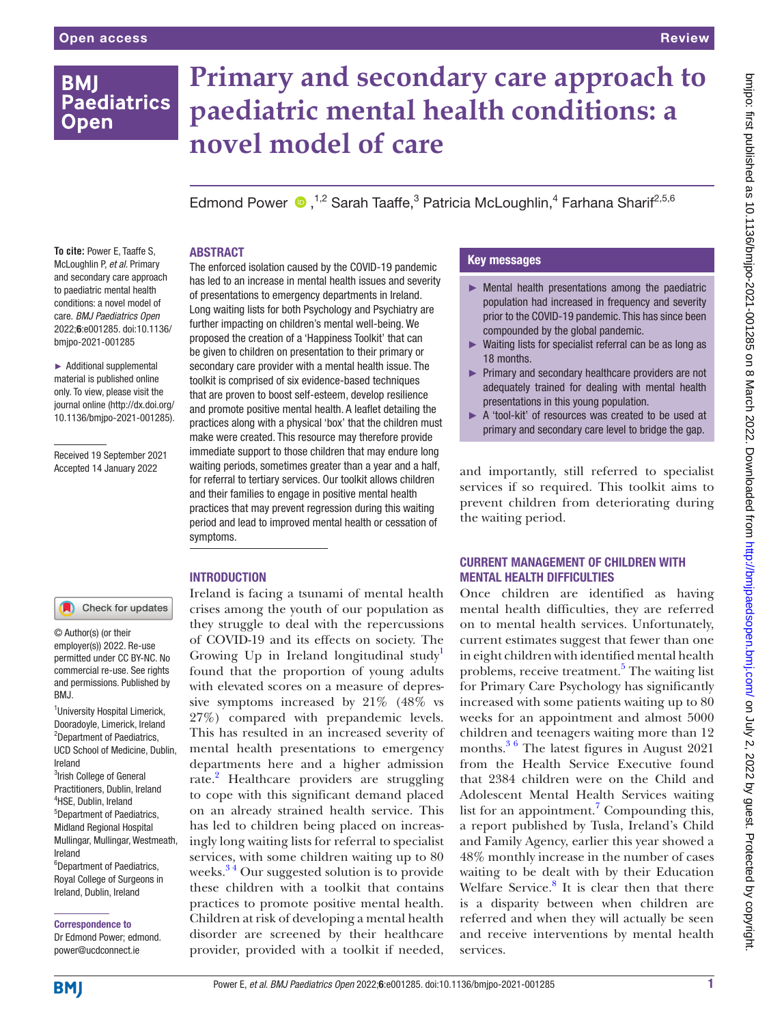# **BMI Paediatrics Open**

# **Primary and secondary care approach to paediatric mental health conditions: a novel model of care**

Edmond Power <sup>1,2</sup> Sarah Taaffe,<sup>3</sup> Patricia McLoughlin,<sup>4</sup> Farhana Sharif<sup>2,5,6</sup>

#### ABSTRACT

**To cite:** Power E, Taaffe S, McLoughlin P, *et al*. Primary and secondary care approach to paediatric mental health conditions: a novel model of care. *BMJ Paediatrics Open* 2022;6:e001285. doi:10.1136/ bmjpo-2021-001285

► Additional supplemental material is published online only. To view, please visit the journal online ([http://dx.doi.org/](http://dx.doi.org/10.1136/bmjpo-2021-001285) [10.1136/bmjpo-2021-001285\)](http://dx.doi.org/10.1136/bmjpo-2021-001285).

Received 19 September 2021 Accepted 14 January 2022

The enforced isolation caused by the COVID-19 pandemic has led to an increase in mental health issues and severity of presentations to emergency departments in Ireland. Long waiting lists for both Psychology and Psychiatry are further impacting on children's mental well-being. We proposed the creation of a 'Happiness Toolkit' that can be given to children on presentation to their primary or secondary care provider with a mental health issue. The toolkit is comprised of six evidence-based techniques that are proven to boost self-esteem, develop resilience and promote positive mental health. A leaflet detailing the practices along with a physical 'box' that the children must make were created. This resource may therefore provide immediate support to those children that may endure long waiting periods, sometimes greater than a year and a half, for referral to tertiary services. Our toolkit allows children and their families to engage in positive mental health practices that may prevent regression during this waiting period and lead to improved mental health or cessation of symptoms.

# **INTRODUCTION**

Check for updates

© Author(s) (or their employer(s)) 2022. Re-use permitted under CC BY-NC. No commercial re-use. See rights and permissions. Published by BMJ.

<sup>1</sup>University Hospital Limerick, Dooradoyle, Limerick, Ireland <sup>2</sup>Department of Paediatrics, UCD School of Medicine, Dublin, Ireland <sup>3</sup> Irish College of General Practitioners, Dublin, Ireland 4 HSE, Dublin, Ireland 5 Department of Paediatrics, Midland Regional Hospital Mullingar, Mullingar, Westmeath, Ireland <sup>6</sup>Department of Paediatrics,

Royal College of Surgeons in Ireland, Dublin, Ireland

Correspondence to

Dr Edmond Power; edmond. power@ucdconnect.ie

Ireland is facing a tsunami of mental health crises among the youth of our population as they struggle to deal with the repercussions of COVID-19 and its effects on society. The Growing Up in Ireland longitudinal study<sup>1</sup> found that the proportion of young adults with elevated scores on a measure of depressive symptoms increased by 21% (48% vs 27%) compared with prepandemic levels. This has resulted in an increased severity of mental health presentations to emergency departments here and a higher admission rate.<sup>2</sup> Healthcare providers are struggling to cope with this significant demand placed on an already strained health service. This has led to children being placed on increasingly long waiting lists for referral to specialist services, with some children waiting up to 80 weeks. $34$  Our suggested solution is to provide these children with a toolkit that contains practices to promote positive mental health. Children at risk of developing a mental health disorder are screened by their healthcare provider, provided with a toolkit if needed,

# Key messages

- $\blacktriangleright$  Mental health presentations among the paediatric population had increased in frequency and severity prior to the COVID-19 pandemic. This has since been compounded by the global pandemic.
- ► Waiting lists for specialist referral can be as long as 18 months.
- ► Primary and secondary healthcare providers are not adequately trained for dealing with mental health presentations in this young population.
- ► A 'tool-kit' of resources was created to be used at primary and secondary care level to bridge the gap.

and importantly, still referred to specialist services if so required. This toolkit aims to prevent children from deteriorating during the waiting period.

# CURRENT MANAGEMENT OF CHILDREN WITH MENTAL HEALTH DIFFICULTIES

Once children are identified as having mental health difficulties, they are referred on to mental health services. Unfortunately, current estimates suggest that fewer than one in eight children with identified mental health problems, receive treatment.<sup>5</sup> The waiting list for Primary Care Psychology has significantly increased with some patients waiting up to 80 weeks for an appointment and almost 5000 children and teenagers waiting more than 12 months.<sup>[3 6](#page-3-0)</sup> The latest figures in August 2021 from the Health Service Executive found that 2384 children were on the Child and Adolescent Mental Health Services waiting list for an appointment.<sup>7</sup> Compounding this, a report published by Tusla, Ireland's Child and Family Agency, earlier this year showed a 48% monthly increase in the number of cases waiting to be dealt with by their Education Welfare Service.<sup>[8](#page-3-3)</sup> It is clear then that there is a disparity between when children are referred and when they will actually be seen and receive interventions by mental health services.

**BMJ**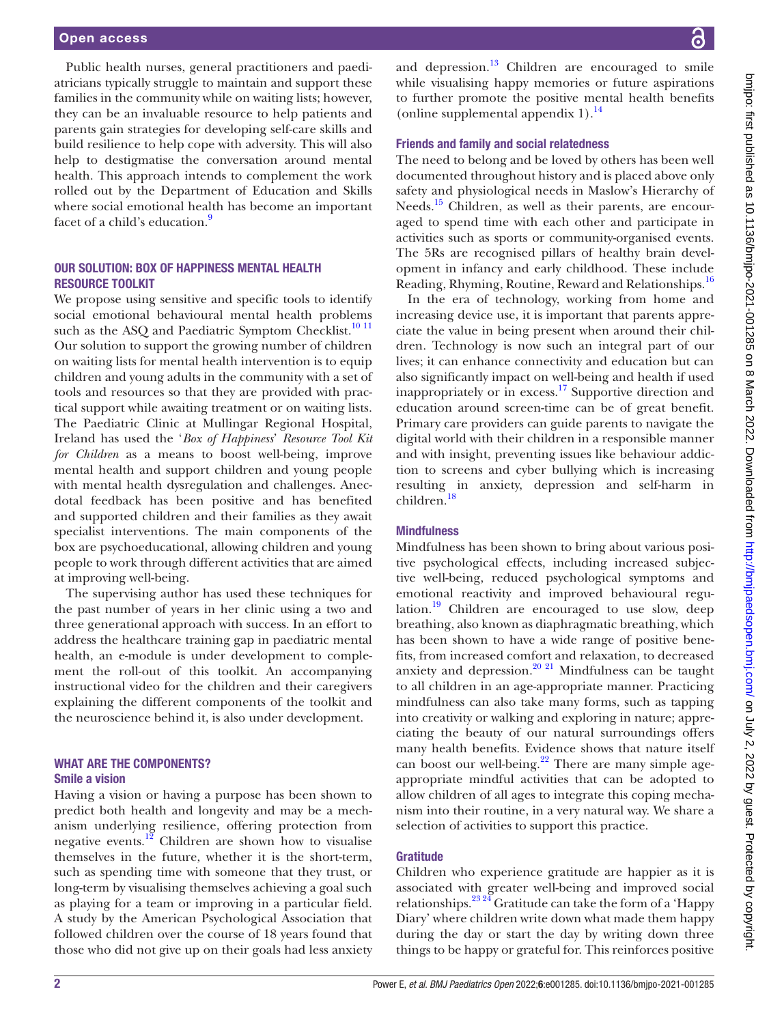#### Open access

Public health nurses, general practitioners and paediatricians typically struggle to maintain and support these families in the community while on waiting lists; however, they can be an invaluable resource to help patients and parents gain strategies for developing self-care skills and build resilience to help cope with adversity. This will also help to destigmatise the conversation around mental health. This approach intends to complement the work rolled out by the Department of Education and Skills where social emotional health has become an important facet of a child's education.<sup>9</sup>

# OUR SOLUTION: BOX OF HAPPINESS MENTAL HEALTH RESOURCE TOOLKIT

We propose using sensitive and specific tools to identify social emotional behavioural mental health problems such as the ASQ and Paediatric Symptom Checklist. $1011$ Our solution to support the growing number of children on waiting lists for mental health intervention is to equip children and young adults in the community with a set of tools and resources so that they are provided with practical support while awaiting treatment or on waiting lists. The Paediatric Clinic at Mullingar Regional Hospital, Ireland has used the '*Box of Happiness*' *Resource Tool Kit for Children* as a means to boost well-being, improve mental health and support children and young people with mental health dysregulation and challenges. Anecdotal feedback has been positive and has benefited and supported children and their families as they await specialist interventions. The main components of the box are psychoeducational, allowing children and young people to work through different activities that are aimed at improving well-being.

The supervising author has used these techniques for the past number of years in her clinic using a two and three generational approach with success. In an effort to address the healthcare training gap in paediatric mental health, an e-module is under development to complement the roll-out of this toolkit. An accompanying instructional video for the children and their caregivers explaining the different components of the toolkit and the neuroscience behind it, is also under development.

# WHAT ARE THE COMPONENTS? Smile a vision

Having a vision or having a purpose has been shown to predict both health and longevity and may be a mechanism underlying resilience, offering protection from negative events. $12$  Children are shown how to visualise themselves in the future, whether it is the short-term, such as spending time with someone that they trust, or long-term by visualising themselves achieving a goal such as playing for a team or improving in a particular field. A study by the American Psychological Association that followed children over the course of 18 years found that those who did not give up on their goals had less anxiety

and depression. $13$  Children are encouraged to smile while visualising happy memories or future aspirations to further promote the positive mental health benefits [\(online supplemental appendix 1\)](https://dx.doi.org/10.1136/bmjpo-2021-001285). $^{14}$  $^{14}$  $^{14}$ 

### Friends and family and social relatedness

The need to belong and be loved by others has been well documented throughout history and is placed above only safety and physiological needs in Maslow's Hierarchy of Needs.<sup>15</sup> Children, as well as their parents, are encouraged to spend time with each other and participate in activities such as sports or community-organised events. The 5Rs are recognised pillars of healthy brain development in infancy and early childhood. These include Reading, Rhyming, Routine, Reward and Relationships[.16](#page-3-10)

In the era of technology, working from home and increasing device use, it is important that parents appreciate the value in being present when around their children. Technology is now such an integral part of our lives; it can enhance connectivity and education but can also significantly impact on well-being and health if used inappropriately or in excess.<sup>[17](#page-3-11)</sup> Supportive direction and education around screen-time can be of great benefit. Primary care providers can guide parents to navigate the digital world with their children in a responsible manner and with insight, preventing issues like behaviour addiction to screens and cyber bullying which is increasing resulting in anxiety, depression and self-harm in children[.18](#page-3-12)

# **Mindfulness**

Mindfulness has been shown to bring about various positive psychological effects, including increased subjective well-being, reduced psychological symptoms and emotional reactivity and improved behavioural regulation. $19$  Children are encouraged to use slow, deep breathing, also known as diaphragmatic breathing, which has been shown to have a wide range of positive benefits, from increased comfort and relaxation, to decreased anxiety and depression. $20$   $21$  Mindfulness can be taught to all children in an age-appropriate manner. Practicing mindfulness can also take many forms, such as tapping into creativity or walking and exploring in nature; appreciating the beauty of our natural surroundings offers many health benefits. Evidence shows that nature itself can boost our well-being. $2^2$  There are many simple ageappropriate mindful activities that can be adopted to allow children of all ages to integrate this coping mechanism into their routine, in a very natural way. We share a selection of activities to support this practice.

# **Gratitude**

Children who experience gratitude are happier as it is associated with greater well-being and improved social relationships. $^{23\,24}$  Gratitude can take the form of a 'Happy Diary' where children write down what made them happy during the day or start the day by writing down three things to be happy or grateful for. This reinforces positive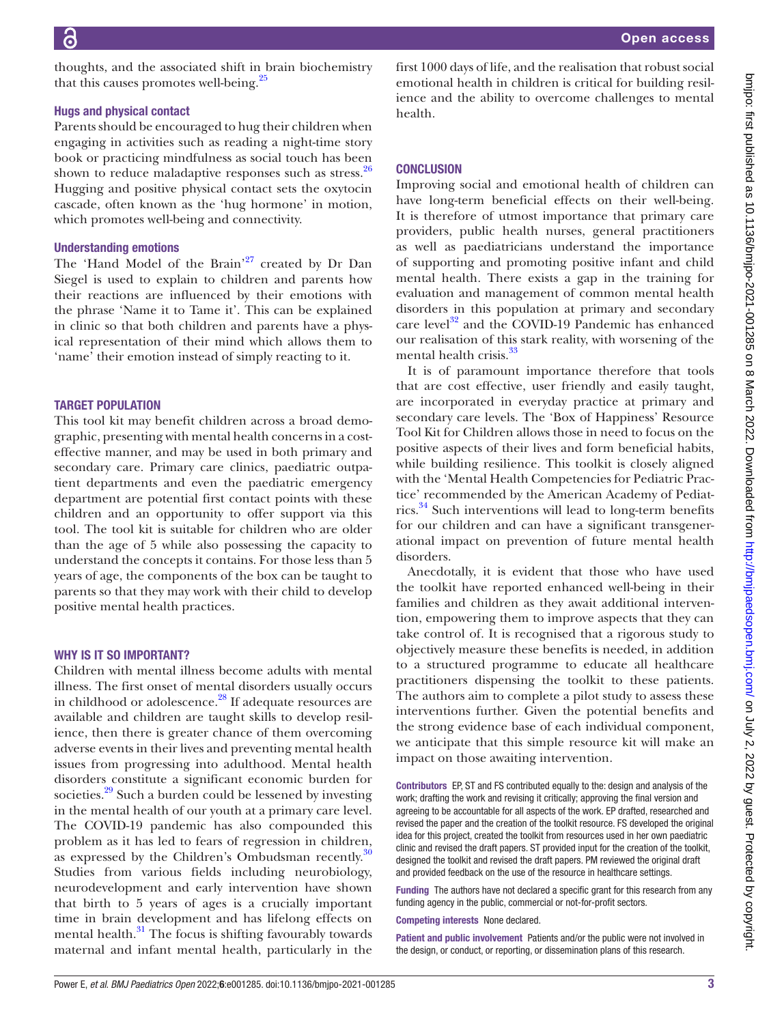thoughts, and the associated shift in brain biochemistry that this causes promotes well-being.<sup>[25](#page-3-17)</sup>

#### Hugs and physical contact

Parents should be encouraged to hug their children when engaging in activities such as reading a night-time story book or practicing mindfulness as social touch has been shown to reduce maladaptive responses such as stress.<sup>[26](#page-3-18)</sup> Hugging and positive physical contact sets the oxytocin cascade, often known as the 'hug hormone' in motion, which promotes well-being and connectivity.

#### Understanding emotions

The 'Hand Model of the Brain'<sup>27</sup> created by Dr Dan Siegel is used to explain to children and parents how their reactions are influenced by their emotions with the phrase 'Name it to Tame it'. This can be explained in clinic so that both children and parents have a physical representation of their mind which allows them to 'name' their emotion instead of simply reacting to it.

### TARGET POPULATION

This tool kit may benefit children across a broad demographic, presenting with mental health concerns in a costeffective manner, and may be used in both primary and secondary care. Primary care clinics, paediatric outpatient departments and even the paediatric emergency department are potential first contact points with these children and an opportunity to offer support via this tool. The tool kit is suitable for children who are older than the age of 5 while also possessing the capacity to understand the concepts it contains. For those less than 5 years of age, the components of the box can be taught to parents so that they may work with their child to develop positive mental health practices.

#### WHY IS IT SO IMPORTANT?

Children with mental illness become adults with mental illness. The first onset of mental disorders usually occurs in childhood or adolescence.[28](#page-3-20) If adequate resources are available and children are taught skills to develop resilience, then there is greater chance of them overcoming adverse events in their lives and preventing mental health issues from progressing into adulthood. Mental health disorders constitute a significant economic burden for societies.<sup>29</sup> Such a burden could be lessened by investing in the mental health of our youth at a primary care level. The COVID-19 pandemic has also compounded this problem as it has led to fears of regression in children, as expressed by the Children's Ombudsman recently.<sup>[30](#page-3-22)</sup> Studies from various fields including neurobiology, neurodevelopment and early intervention have shown that birth to 5 years of ages is a crucially important time in brain development and has lifelong effects on mental health.<sup>31</sup> The focus is shifting favourably towards maternal and infant mental health, particularly in the

first 1000 days of life, and the realisation that robust social emotional health in children is critical for building resilience and the ability to overcome challenges to mental health.

# **CONCLUSION**

Improving social and emotional health of children can have long-term beneficial effects on their well-being. It is therefore of utmost importance that primary care providers, public health nurses, general practitioners as well as paediatricians understand the importance of supporting and promoting positive infant and child mental health. There exists a gap in the training for evaluation and management of common mental health disorders in this population at primary and secondary care level $32$  and the COVID-19 Pandemic has enhanced our realisation of this stark reality, with worsening of the mental health crisis.<sup>[33](#page-3-25)</sup>

It is of paramount importance therefore that tools that are cost effective, user friendly and easily taught, are incorporated in everyday practice at primary and secondary care levels. The 'Box of Happiness' Resource Tool Kit for Children allows those in need to focus on the positive aspects of their lives and form beneficial habits, while building resilience. This toolkit is closely aligned with the 'Mental Health Competencies for Pediatric Practice' recommended by the American Academy of Pediatrics.<sup>34</sup> Such interventions will lead to long-term benefits for our children and can have a significant transgenerational impact on prevention of future mental health disorders.

Anecdotally, it is evident that those who have used the toolkit have reported enhanced well-being in their families and children as they await additional intervention, empowering them to improve aspects that they can take control of. It is recognised that a rigorous study to objectively measure these benefits is needed, in addition to a structured programme to educate all healthcare practitioners dispensing the toolkit to these patients. The authors aim to complete a pilot study to assess these interventions further. Given the potential benefits and the strong evidence base of each individual component, we anticipate that this simple resource kit will make an impact on those awaiting intervention.

Contributors EP, ST and FS contributed equally to the: design and analysis of the work; drafting the work and revising it critically; approving the final version and agreeing to be accountable for all aspects of the work. EP drafted, researched and revised the paper and the creation of the toolkit resource. FS developed the original idea for this project, created the toolkit from resources used in her own paediatric clinic and revised the draft papers. ST provided input for the creation of the toolkit, designed the toolkit and revised the draft papers. PM reviewed the original draft and provided feedback on the use of the resource in healthcare settings.

Funding The authors have not declared a specific grant for this research from any funding agency in the public, commercial or not-for-profit sectors.

Competing interests None declared.

Patient and public involvement Patients and/or the public were not involved in the design, or conduct, or reporting, or dissemination plans of this research.